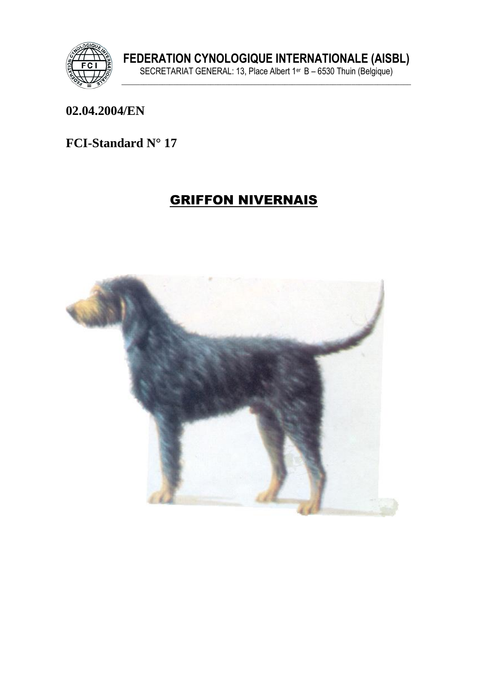

#### 02.04.2004/EN

#### FCI-Standard N° 17

# **GRIFFON NIVERNAIS**

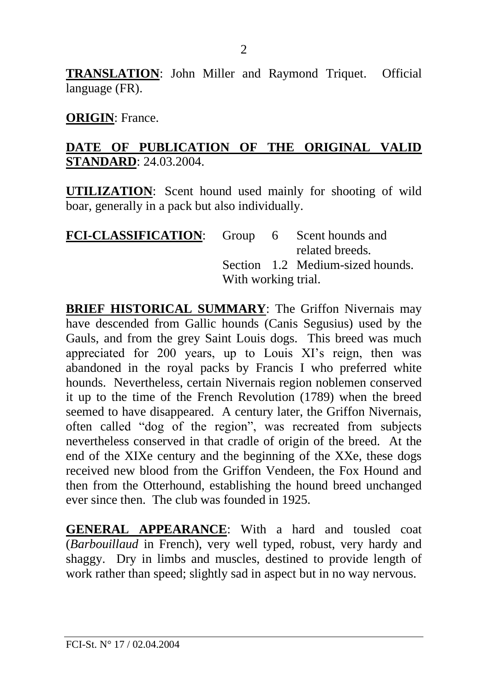**TRANSLATION**: John Miller and Raymond Triquet. Official language (FR).

**ORIGIN**: France.

#### **DATE OF PUBLICATION OF THE ORIGINAL VALID STANDARD**: 24.03.2004.

**UTILIZATION**: Scent hound used mainly for shooting of wild boar, generally in a pack but also individually.

| FCI-CLASSIFICATION: Group 6 Scent hounds and |                     |  |                                  |
|----------------------------------------------|---------------------|--|----------------------------------|
|                                              |                     |  | related breeds.                  |
|                                              |                     |  | Section 1.2 Medium-sized hounds. |
|                                              | With working trial. |  |                                  |

**BRIEF HISTORICAL SUMMARY**: The Griffon Nivernais may have descended from Gallic hounds (Canis Segusius) used by the Gauls, and from the grey Saint Louis dogs. This breed was much appreciated for 200 years, up to Louis XI's reign, then was abandoned in the royal packs by Francis I who preferred white hounds. Nevertheless, certain Nivernais region noblemen conserved it up to the time of the French Revolution (1789) when the breed seemed to have disappeared. A century later, the Griffon Nivernais, often called "dog of the region", was recreated from subjects nevertheless conserved in that cradle of origin of the breed. At the end of the XIXe century and the beginning of the XXe, these dogs received new blood from the Griffon Vendeen, the Fox Hound and then from the Otterhound, establishing the hound breed unchanged ever since then. The club was founded in 1925.

**GENERAL APPEARANCE**: With a hard and tousled coat (*Barbouillaud* in French), very well typed, robust, very hardy and shaggy. Dry in limbs and muscles, destined to provide length of work rather than speed; slightly sad in aspect but in no way nervous.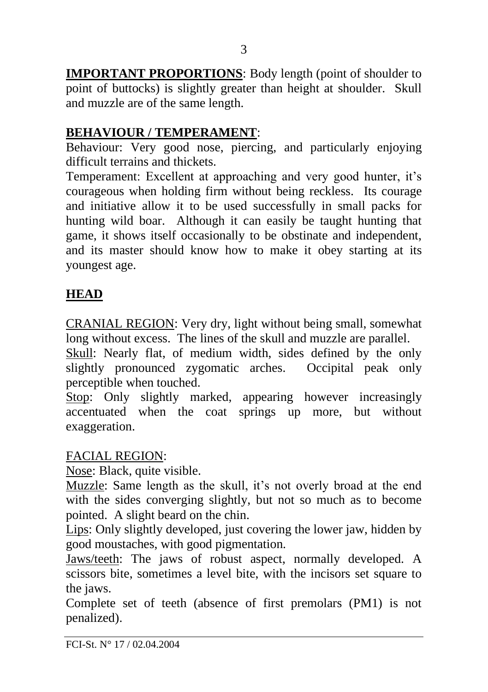**IMPORTANT PROPORTIONS**: Body length (point of shoulder to point of buttocks) is slightly greater than height at shoulder. Skull and muzzle are of the same length.

# **BEHAVIOUR / TEMPERAMENT**:

Behaviour: Very good nose, piercing, and particularly enjoying difficult terrains and thickets.

Temperament: Excellent at approaching and very good hunter, it's courageous when holding firm without being reckless. Its courage and initiative allow it to be used successfully in small packs for hunting wild boar. Although it can easily be taught hunting that game, it shows itself occasionally to be obstinate and independent, and its master should know how to make it obey starting at its youngest age.

# **HEAD**

CRANIAL REGION: Very dry, light without being small, somewhat long without excess. The lines of the skull and muzzle are parallel.

Skull: Nearly flat, of medium width, sides defined by the only slightly pronounced zygomatic arches. Occipital peak only perceptible when touched.

Stop: Only slightly marked, appearing however increasingly accentuated when the coat springs up more, but without exaggeration.

### FACIAL REGION:

Nose: Black, quite visible.

Muzzle: Same length as the skull, it's not overly broad at the end with the sides converging slightly, but not so much as to become pointed. A slight beard on the chin.

Lips: Only slightly developed, just covering the lower jaw, hidden by good moustaches, with good pigmentation.

Jaws/teeth: The jaws of robust aspect, normally developed. A scissors bite, sometimes a level bite, with the incisors set square to the jaws.

Complete set of teeth (absence of first premolars (PM1) is not penalized).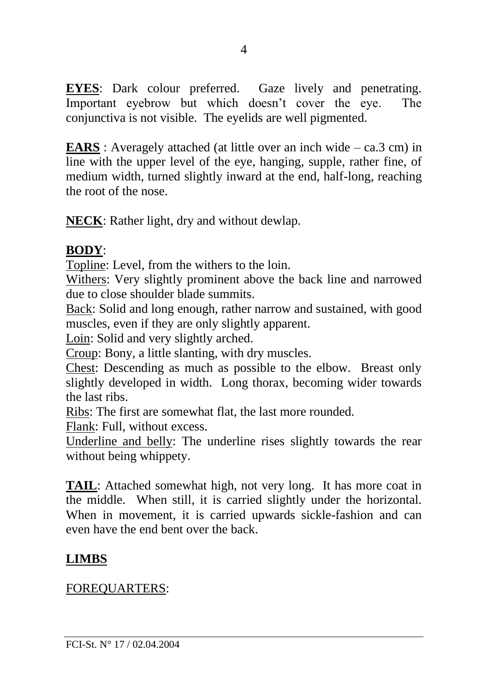**EYES**: Dark colour preferred. Gaze lively and penetrating. Important eyebrow but which doesn't cover the eye. The conjunctiva is not visible. The eyelids are well pigmented.

**EARS**: Averagely attached (at little over an inch wide – ca.3 cm) in line with the upper level of the eye, hanging, supple, rather fine, of medium width, turned slightly inward at the end, half-long, reaching the root of the nose.

**NECK**: Rather light, dry and without dewlap.

### **BODY**:

Topline: Level, from the withers to the loin.

Withers: Very slightly prominent above the back line and narrowed due to close shoulder blade summits.

Back: Solid and long enough, rather narrow and sustained, with good muscles, even if they are only slightly apparent.

Loin: Solid and very slightly arched.

Croup: Bony, a little slanting, with dry muscles.

Chest: Descending as much as possible to the elbow. Breast only slightly developed in width. Long thorax, becoming wider towards the last ribs.

Ribs: The first are somewhat flat, the last more rounded.

Flank: Full, without excess.

Underline and belly: The underline rises slightly towards the rear without being whippety.

**TAIL**: Attached somewhat high, not very long. It has more coat in the middle. When still, it is carried slightly under the horizontal. When in movement, it is carried upwards sickle-fashion and can even have the end bent over the back.

# **LIMBS**

FOREQUARTERS: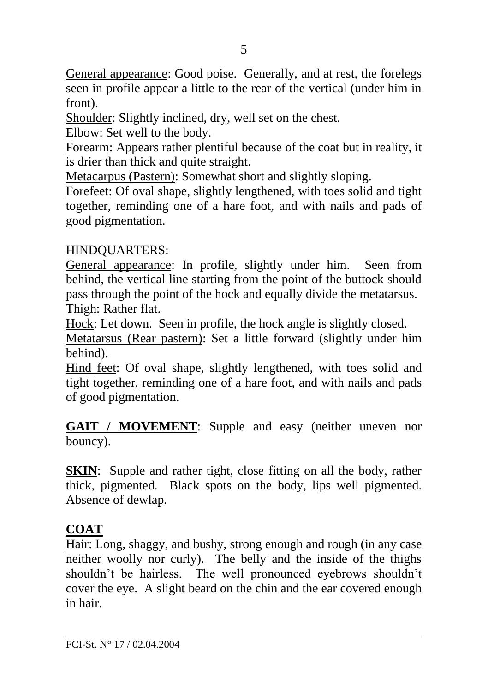General appearance: Good poise. Generally, and at rest, the forelegs seen in profile appear a little to the rear of the vertical (under him in front).

Shoulder: Slightly inclined, dry, well set on the chest.

Elbow: Set well to the body.

Forearm: Appears rather plentiful because of the coat but in reality, it is drier than thick and quite straight.

Metacarpus (Pastern): Somewhat short and slightly sloping.

Forefeet: Of oval shape, slightly lengthened, with toes solid and tight together, reminding one of a hare foot, and with nails and pads of good pigmentation.

### HINDQUARTERS:

General appearance: In profile, slightly under him. Seen from behind, the vertical line starting from the point of the buttock should pass through the point of the hock and equally divide the metatarsus. Thigh: Rather flat.

Hock: Let down. Seen in profile, the hock angle is slightly closed.

Metatarsus (Rear pastern): Set a little forward (slightly under him behind).

Hind feet: Of oval shape, slightly lengthened, with toes solid and tight together, reminding one of a hare foot, and with nails and pads of good pigmentation.

**GAIT / MOVEMENT**: Supple and easy (neither uneven nor bouncy).

**SKIN:** Supple and rather tight, close fitting on all the body, rather thick, pigmented. Black spots on the body, lips well pigmented. Absence of dewlap.

# **COAT**

Hair: Long, shaggy, and bushy, strong enough and rough (in any case neither woolly nor curly). The belly and the inside of the thighs shouldn't be hairless. The well pronounced eyebrows shouldn't cover the eye. A slight beard on the chin and the ear covered enough in hair.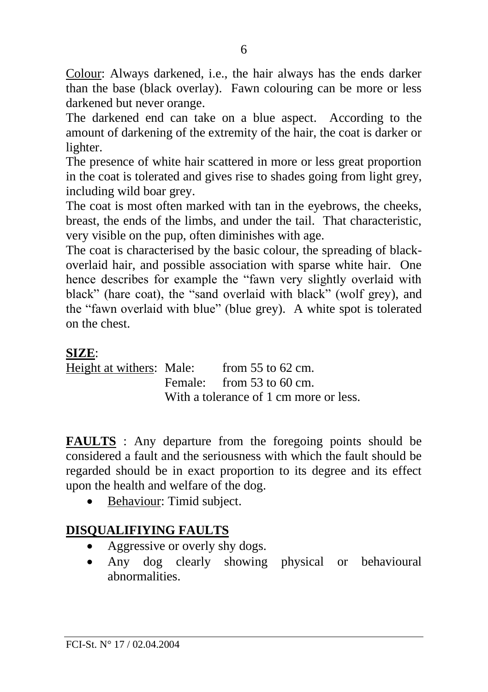Colour: Always darkened, i.e., the hair always has the ends darker than the base (black overlay). Fawn colouring can be more or less darkened but never orange.

The darkened end can take on a blue aspect. According to the amount of darkening of the extremity of the hair, the coat is darker or lighter.

The presence of white hair scattered in more or less great proportion in the coat is tolerated and gives rise to shades going from light grey, including wild boar grey.

The coat is most often marked with tan in the eyebrows, the cheeks, breast, the ends of the limbs, and under the tail. That characteristic, very visible on the pup, often diminishes with age.

The coat is characterised by the basic colour, the spreading of blackoverlaid hair, and possible association with sparse white hair. One hence describes for example the "fawn very slightly overlaid with black" (hare coat), the "sand overlaid with black" (wolf grey), and the "fawn overlaid with blue" (blue grey). A white spot is tolerated on the chest.

### **SIZE**:

Height at withers: Male: from 55 to 62 cm. Female: from 53 to 60 cm. With a tolerance of 1 cm more or less.

**FAULTS** : Any departure from the foregoing points should be considered a fault and the seriousness with which the fault should be regarded should be in exact proportion to its degree and its effect upon the health and welfare of the dog.

• Behaviour: Timid subject.

# **DISQUALIFIYING FAULTS**

- Aggressive or overly shy dogs.
- Any dog clearly showing physical or behavioural abnormalities.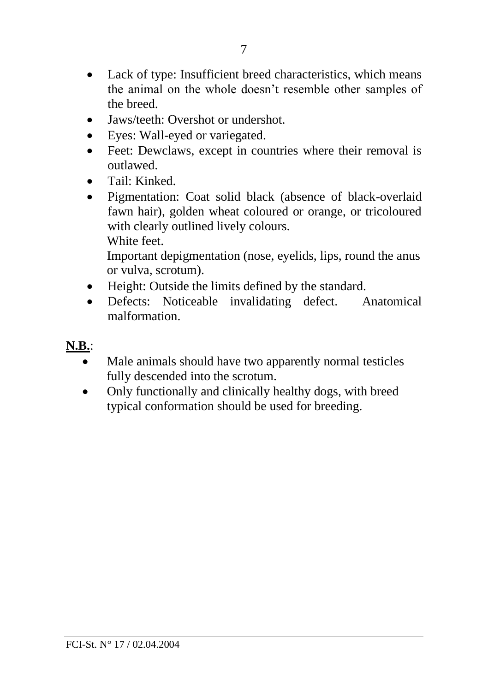- Lack of type: Insufficient breed characteristics, which means the animal on the whole doesn't resemble other samples of the breed.
- Jaws/teeth: Overshot or undershot.
- Eyes: Wall-eyed or variegated.
- Feet: Dewclaws, except in countries where their removal is outlawed.
- Tail: Kinked.
- Pigmentation: Coat solid black (absence of black-overlaid fawn hair), golden wheat coloured or orange, or tricoloured with clearly outlined lively colours. White feet.

Important depigmentation (nose, eyelids, lips, round the anus or vulva, scrotum).

- Height: Outside the limits defined by the standard.
- Defects: Noticeable invalidating defect. Anatomical malformation.

#### **N.B.**:

- Male animals should have two apparently normal testicles fully descended into the scrotum.
- Only functionally and clinically healthy dogs, with breed typical conformation should be used for breeding.